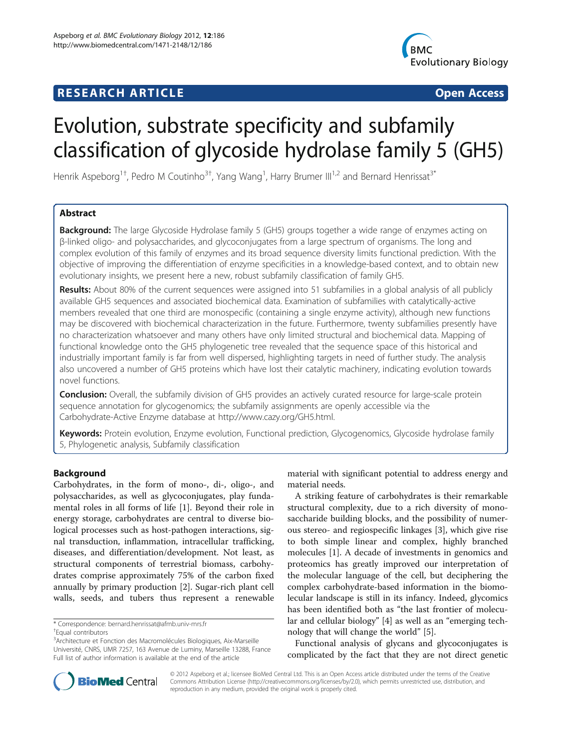## **RESEARCH ARTICLE Example 2014 CONSIDERING CONSIDERING CONSIDERING CONSIDERING CONSIDERING CONSIDERING CONSIDERING CONSIDERING CONSIDERING CONSIDERING CONSIDERING CONSIDERING CONSIDERING CONSIDERING CONSIDERING CONSIDE**



# Evolution, substrate specificity and subfamily classification of glycoside hydrolase family 5 (GH5)

Henrik Aspeborg<sup>1†</sup>, Pedro M Coutinho<sup>3†</sup>, Yang Wang<sup>1</sup>, Harry Brumer III<sup>1,2</sup> and Bernard Henrissat<sup>3\*</sup>

## Abstract

**Background:** The large Glycoside Hydrolase family 5 (GH5) groups together a wide range of enzymes acting on β-linked oligo- and polysaccharides, and glycoconjugates from a large spectrum of organisms. The long and complex evolution of this family of enzymes and its broad sequence diversity limits functional prediction. With the objective of improving the differentiation of enzyme specificities in a knowledge-based context, and to obtain new evolutionary insights, we present here a new, robust subfamily classification of family GH5.

Results: About 80% of the current sequences were assigned into 51 subfamilies in a global analysis of all publicly available GH5 sequences and associated biochemical data. Examination of subfamilies with catalytically-active members revealed that one third are monospecific (containing a single enzyme activity), although new functions may be discovered with biochemical characterization in the future. Furthermore, twenty subfamilies presently have no characterization whatsoever and many others have only limited structural and biochemical data. Mapping of functional knowledge onto the GH5 phylogenetic tree revealed that the sequence space of this historical and industrially important family is far from well dispersed, highlighting targets in need of further study. The analysis also uncovered a number of GH5 proteins which have lost their catalytic machinery, indicating evolution towards novel functions.

**Conclusion:** Overall, the subfamily division of GH5 provides an actively curated resource for large-scale protein sequence annotation for glycogenomics; the subfamily assignments are openly accessible via the Carbohydrate-Active Enzyme database at<http://www.cazy.org/GH5.html>.

Keywords: Protein evolution, Enzyme evolution, Functional prediction, Glycogenomics, Glycoside hydrolase family 5, Phylogenetic analysis, Subfamily classification

## Background

Carbohydrates, in the form of mono-, di-, oligo-, and polysaccharides, as well as glycoconjugates, play fundamental roles in all forms of life [\[1](#page-13-0)]. Beyond their role in energy storage, carbohydrates are central to diverse biological processes such as host-pathogen interactions, signal transduction, inflammation, intracellular trafficking, diseases, and differentiation/development. Not least, as structural components of terrestrial biomass, carbohydrates comprise approximately 75% of the carbon fixed annually by primary production [[2\]](#page-13-0). Sugar-rich plant cell walls, seeds, and tubers thus represent a renewable

\* Correspondence: [bernard.henrissat@afmb.univ-mrs.fr](mailto:bernard.henrissat@afmb.univ-mrs.fr) †

material with significant potential to address energy and material needs.

A striking feature of carbohydrates is their remarkable structural complexity, due to a rich diversity of monosaccharide building blocks, and the possibility of numerous stereo- and regiospecific linkages [\[3\]](#page-13-0), which give rise to both simple linear and complex, highly branched molecules [[1\]](#page-13-0). A decade of investments in genomics and proteomics has greatly improved our interpretation of the molecular language of the cell, but deciphering the complex carbohydrate-based information in the biomolecular landscape is still in its infancy. Indeed, glycomics has been identified both as "the last frontier of molecular and cellular biology" [\[4\]](#page-13-0) as well as an "emerging technology that will change the world" [[5\]](#page-13-0).

Functional analysis of glycans and glycoconjugates is complicated by the fact that they are not direct genetic



© 2012 Aspeborg et al.; licensee BioMed Central Ltd. This is an Open Access article distributed under the terms of the Creative Commons Attribution License [\(http://creativecommons.org/licenses/by/2.0\)](http://creativecommons.org/licenses/by/2.0), which permits unrestricted use, distribution, and reproduction in any medium, provided the original work is properly cited.

Equal contributors

<sup>&</sup>lt;sup>3</sup> Architecture et Fonction des Macromolécules Biologiques, Aix-Marseille Université, CNRS, UMR 7257, 163 Avenue de Luminy, Marseille 13288, France Full list of author information is available at the end of the article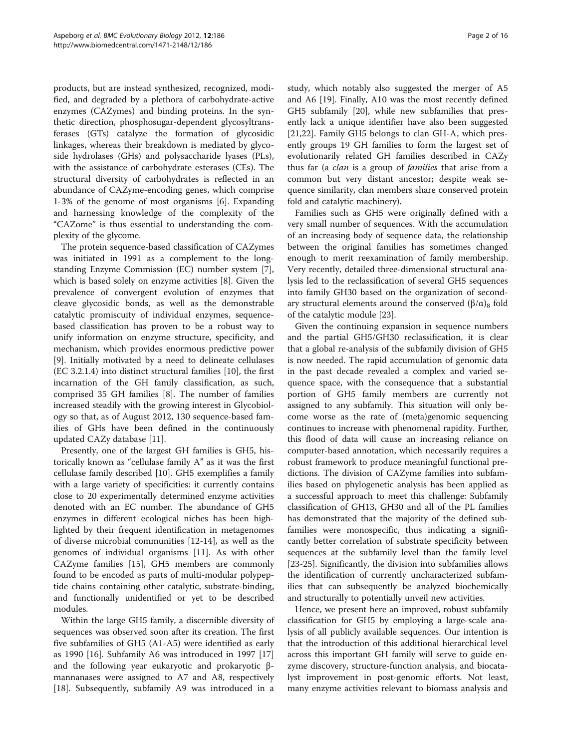products, but are instead synthesized, recognized, modified, and degraded by a plethora of carbohydrate-active enzymes (CAZymes) and binding proteins. In the synthetic direction, phosphosugar-dependent glycosyltransferases (GTs) catalyze the formation of glycosidic linkages, whereas their breakdown is mediated by glycoside hydrolases (GHs) and polysaccharide lyases (PLs), with the assistance of carbohydrate esterases (CEs). The structural diversity of carbohydrates is reflected in an abundance of CAZyme-encoding genes, which comprise 1-3% of the genome of most organisms [[6\]](#page-13-0). Expanding and harnessing knowledge of the complexity of the "CAZome" is thus essential to understanding the complexity of the glycome.

The protein sequence-based classification of CAZymes was initiated in 1991 as a complement to the longstanding Enzyme Commission (EC) number system [\[7](#page-13-0)], which is based solely on enzyme activities [[8\]](#page-13-0). Given the prevalence of convergent evolution of enzymes that cleave glycosidic bonds, as well as the demonstrable catalytic promiscuity of individual enzymes, sequencebased classification has proven to be a robust way to unify information on enzyme structure, specificity, and mechanism, which provides enormous predictive power [[9\]](#page-13-0). Initially motivated by a need to delineate cellulases (EC 3.2.1.4) into distinct structural families [\[10](#page-14-0)], the first incarnation of the GH family classification, as such, comprised 35 GH families [[8](#page-13-0)]. The number of families increased steadily with the growing interest in Glycobiology so that, as of August 2012, 130 sequence-based families of GHs have been defined in the continuously updated CAZy database [[11\]](#page-14-0).

Presently, one of the largest GH families is GH5, historically known as "cellulase family A" as it was the first cellulase family described [[10\]](#page-14-0). GH5 exemplifies a family with a large variety of specificities: it currently contains close to 20 experimentally determined enzyme activities denoted with an EC number. The abundance of GH5 enzymes in different ecological niches has been highlighted by their frequent identification in metagenomes of diverse microbial communities [\[12-14](#page-14-0)], as well as the genomes of individual organisms [\[11\]](#page-14-0). As with other CAZyme families [\[15](#page-14-0)], GH5 members are commonly found to be encoded as parts of multi-modular polypeptide chains containing other catalytic, substrate-binding, and functionally unidentified or yet to be described modules.

Within the large GH5 family, a discernible diversity of sequences was observed soon after its creation. The first five subfamilies of GH5 (A1-A5) were identified as early as 1990 [[16\]](#page-14-0). Subfamily A6 was introduced in 1997 [[17](#page-14-0)] and the following year eukaryotic and prokaryotic βmannanases were assigned to A7 and A8, respectively [[18\]](#page-14-0). Subsequently, subfamily A9 was introduced in a study, which notably also suggested the merger of A5 and A6 [[19\]](#page-14-0). Finally, A10 was the most recently defined GH5 subfamily [\[20\]](#page-14-0), while new subfamilies that presently lack a unique identifier have also been suggested [[21,22\]](#page-14-0). Family GH5 belongs to clan GH-A, which presently groups 19 GH families to form the largest set of evolutionarily related GH families described in CAZy thus far (a *clan* is a group of *families* that arise from a common but very distant ancestor; despite weak sequence similarity, clan members share conserved protein fold and catalytic machinery).

Families such as GH5 were originally defined with a very small number of sequences. With the accumulation of an increasing body of sequence data, the relationship between the original families has sometimes changed enough to merit reexamination of family membership. Very recently, detailed three-dimensional structural analysis led to the reclassification of several GH5 sequences into family GH30 based on the organization of secondary structural elements around the conserved  $(\beta/\alpha)_{8}$  fold of the catalytic module [[23\]](#page-14-0).

Given the continuing expansion in sequence numbers and the partial GH5/GH30 reclassification, it is clear that a global re-analysis of the subfamily division of GH5 is now needed. The rapid accumulation of genomic data in the past decade revealed a complex and varied sequence space, with the consequence that a substantial portion of GH5 family members are currently not assigned to any subfamily. This situation will only become worse as the rate of (meta)genomic sequencing continues to increase with phenomenal rapidity. Further, this flood of data will cause an increasing reliance on computer-based annotation, which necessarily requires a robust framework to produce meaningful functional predictions. The division of CAZyme families into subfamilies based on phylogenetic analysis has been applied as a successful approach to meet this challenge: Subfamily classification of GH13, GH30 and all of the PL families has demonstrated that the majority of the defined subfamilies were monospecific, thus indicating a significantly better correlation of substrate specificity between sequences at the subfamily level than the family level [[23-25](#page-14-0)]. Significantly, the division into subfamilies allows the identification of currently uncharacterized subfamilies that can subsequently be analyzed biochemically and structurally to potentially unveil new activities.

Hence, we present here an improved, robust subfamily classification for GH5 by employing a large-scale analysis of all publicly available sequences. Our intention is that the introduction of this additional hierarchical level across this important GH family will serve to guide enzyme discovery, structure-function analysis, and biocatalyst improvement in post-genomic efforts. Not least, many enzyme activities relevant to biomass analysis and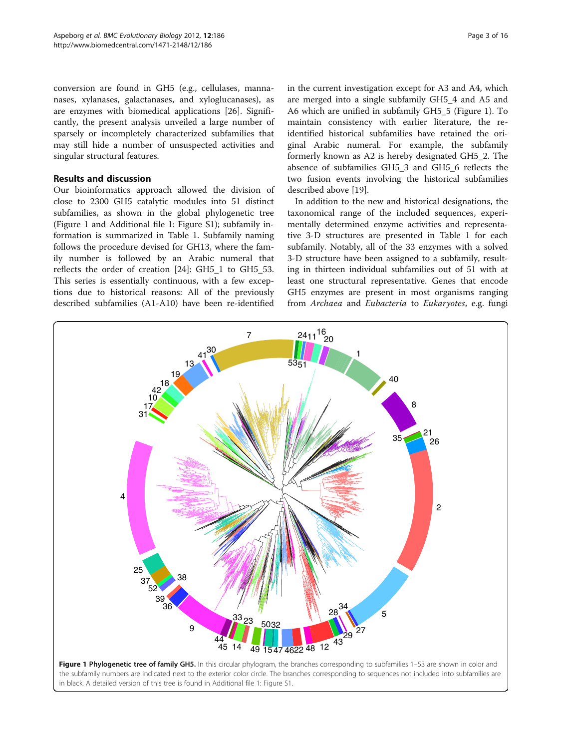<span id="page-2-0"></span>conversion are found in GH5 (e.g., cellulases, mannanases, xylanases, galactanases, and xyloglucanases), as are enzymes with biomedical applications [[26](#page-14-0)]. Significantly, the present analysis unveiled a large number of sparsely or incompletely characterized subfamilies that may still hide a number of unsuspected activities and singular structural features.

#### Results and discussion

Our bioinformatics approach allowed the division of close to 2300 GH5 catalytic modules into 51 distinct subfamilies, as shown in the global phylogenetic tree (Figure 1 and Additional file [1](#page-13-0): Figure S1); subfamily information is summarized in Table [1](#page-3-0). Subfamily naming follows the procedure devised for GH13, where the family number is followed by an Arabic numeral that reflects the order of creation [[24\]](#page-14-0): GH5\_1 to GH5\_53. This series is essentially continuous, with a few exceptions due to historical reasons: All of the previously described subfamilies (A1-A10) have been re-identified in the current investigation except for A3 and A4, which are merged into a single subfamily GH5\_4 and A5 and A6 which are unified in subfamily GH5\_5 (Figure 1). To maintain consistency with earlier literature, the reidentified historical subfamilies have retained the original Arabic numeral. For example, the subfamily formerly known as A2 is hereby designated GH5\_2. The absence of subfamilies GH5\_3 and GH5\_6 reflects the two fusion events involving the historical subfamilies described above [\[19\]](#page-14-0).

In addition to the new and historical designations, the taxonomical range of the included sequences, experimentally determined enzyme activities and representative 3-D structures are presented in Table [1](#page-3-0) for each subfamily. Notably, all of the 33 enzymes with a solved 3-D structure have been assigned to a subfamily, resulting in thirteen individual subfamilies out of 51 with at least one structural representative. Genes that encode GH5 enzymes are present in most organisms ranging from Archaea and Eubacteria to Eukaryotes, e.g. fungi

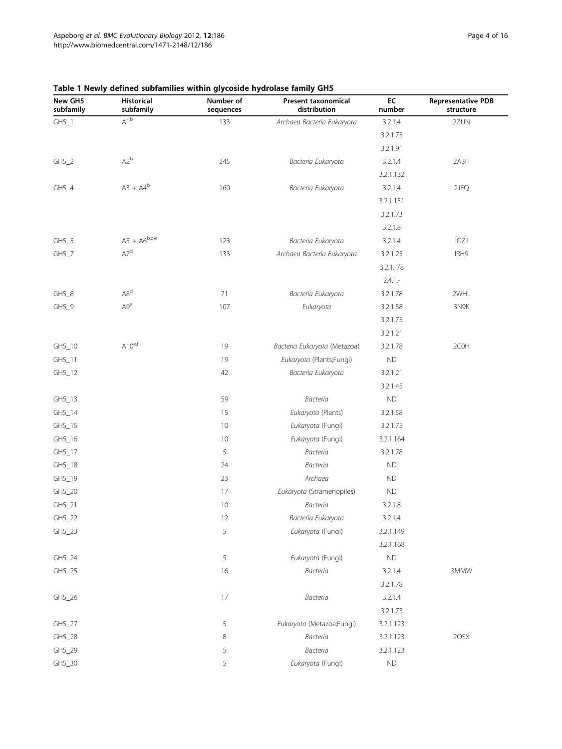| New GH5<br>subfamily | Historical<br>subfamily     | Number of<br>sequences | <b>Present taxonomical</b><br>distribution | EC<br>number  | <b>Representative PDB</b><br>structure |
|----------------------|-----------------------------|------------------------|--------------------------------------------|---------------|----------------------------------------|
| $GH5_1$              | $A1^b$                      | 133                    | Archaea Bacteria Eukaryota                 | 3.2.1.4       | 2ZUN                                   |
|                      |                             |                        |                                            | 3.2.1.73      |                                        |
|                      |                             |                        |                                            | 3.2.1.91      |                                        |
| $GH5_2$              | $A2^b$                      | 245                    | Bacteria Eukaryota                         | 3.2.1.4       | 2A3H                                   |
|                      |                             |                        |                                            | 3.2.1.132     |                                        |
| $GH5_4$              | $A3 + A4^{b}$               | 160                    | Bacteria Eukaryota                         | 3.2.1.4       | 2JEQ                                   |
|                      |                             |                        |                                            | 3.2.1.151     |                                        |
|                      |                             |                        |                                            | 3.2.1.73      |                                        |
|                      |                             |                        |                                            | 3.2.1.8       |                                        |
| $GH5_5$              | $A5 + A6^{b,c,e}$           | 123                    | Bacteria Eukaryota                         | 3.2.1.4       | IGZJ                                   |
| $GH5_7$              | $\mathsf{A7}^{\rm d}$       | 133                    | Archaea Bacteria Eukaryota                 | 3.2.1.25      | IRH9                                   |
|                      |                             |                        |                                            | 3.2.1.78      |                                        |
|                      |                             |                        |                                            | $2.4.1 -$     |                                        |
| $GH5_8$              | A8 <sup>d</sup>             | $71\,$                 | Bacteria Eukaryota                         | 3.2.1.78      | 2WHL                                   |
| $GH5_9$              | A9 <sup>e</sup>             | 107                    | Eukaryota                                  | 3.2.1.58      | 3N9K                                   |
|                      |                             |                        |                                            | 3.2.1.75      |                                        |
|                      |                             |                        |                                            | 3.2.1.21      |                                        |
| GH5_10               | $\mathsf{A10}^\mathsf{e,f}$ | 19                     | Bacteria Eukaryota (Metazoa)               | 3.2.1.78      | 2C0H                                   |
| GH5_11               |                             | 19                     | Eukaryota (Plants;Fungi)                   | <b>ND</b>     |                                        |
| GH5_12               |                             | 42                     | Bacteria Eukaryota                         | 3.2.1.21      |                                        |
|                      |                             |                        |                                            | 3.2.1.45      |                                        |
| $GH5_13$             |                             | 59                     | Bacteria                                   | $\mathsf{ND}$ |                                        |
| GH5_14               |                             | 15                     | Eukaryota (Plants)                         | 3.2.1.58      |                                        |
| GH5_15               |                             | 10                     | Eukaryota (Fungi)                          | 3.2.1.75      |                                        |
| $GH5_16$             |                             | 10                     | Eukaryota (Fungi)                          | 3.2.1.164     |                                        |
| GH5_17               |                             | 5                      | Bacteria                                   | 3.2.1.78      |                                        |
| $GH5_18$             |                             | 24                     | Bacteria                                   | <b>ND</b>     |                                        |
| GH5_19               |                             | 23                     | Archaea                                    | <b>ND</b>     |                                        |
| GH5_20               |                             | 17                     | Eukaryota (Stramenopiles)                  | <b>ND</b>     |                                        |
| GH5_21               |                             | 10                     | Bacteria                                   | 3.2.1.8       |                                        |
| GH5_22               |                             | 12                     | Bacteria Eukaryota                         | 3.2.1.4       |                                        |
| GH5_23               |                             | $\sqrt{5}$             | Eukaryota (Fungi)                          | 3.2.1.149     |                                        |
|                      |                             |                        |                                            | 3.2.1.168     |                                        |
| GH5_24               |                             | 5                      | Eukaryota (Fungi)                          | $\mathsf{ND}$ |                                        |
| GH5_25               |                             | 16                     | Bacteria                                   | 3.2.1.4       | 3MMW                                   |
|                      |                             |                        |                                            | 3.2.1.78      |                                        |
| GH5_26               |                             | 17                     | Bacteria                                   | 3.2.1.4       |                                        |
|                      |                             |                        |                                            | 3.2.1.73      |                                        |
| GH5_27               |                             | 5                      | Eukaryota (Metazoa;Fungi)                  | 3.2.1.123     |                                        |
| GH5_28               |                             | 8                      | <b>Bacteria</b>                            | 3.2.1.123     | 2OSX                                   |
| GH5_29               |                             | 5                      | Bacteria                                   | 3.2.1.123     |                                        |
| GH5_30               |                             | $\mathsf S$            | Eukaryota (Fungi)                          | <b>ND</b>     |                                        |

## <span id="page-3-0"></span>Table 1 Newly defined subfamilies within glycoside hydrolase family GH5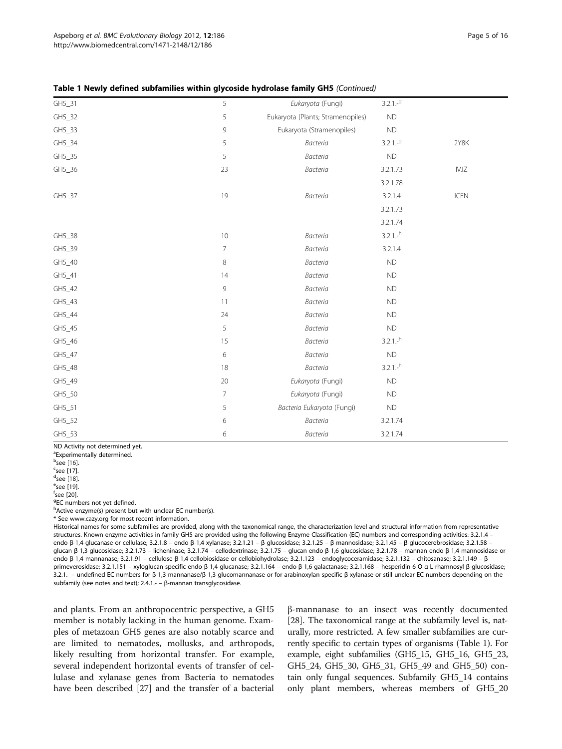ND Activity not determined yet.

a Experimentally determined.

<sup>b</sup>see [\[16\]](#page-14-0).<br><sup>c</sup>see [17]

 $c$ see [[17](#page-14-0)].

 $d$ see [\[18\]](#page-14-0).

 $\frac{e}{2}$ see [\[19](#page-14-0)].<br> $\frac{f}{2}$ see [20].

<sup>r</sup>see [\[20](#page-14-0)].<br><sup>g</sup>EC numbers not yet defined.

<sup>h</sup>Active enzyme(s) present but with unclear EC number(s).

\* See [www.cazy.org](http://www.cazy.org) for most recent information.

Historical names for some subfamilies are provided, along with the taxonomical range, the characterization level and structural information from representative structures. Known enzyme activities in family GH5 are provided using the following Enzyme Classification (EC) numbers and corresponding activities: 3.2.1.4 – endo-β-1,4-glucanase or cellulase; 3.2.1.8 – endo-β-1,4-xylanase; 3.2.1.21 – β-glucosidase; 3.2.1.25 – β-mannosidase; 3.2.1.45 – β-glucocerebrosidase; 3.2.1.58 – glucan β-1,3-glucosidase; 3.2.1.73 – licheninase; 3.2.1.74 – cellodextrinase; 3.2.1.75 – glucan endo-β-1,6-glucosidase; 3.2.1.78 – mannan endo-β-1,4-mannosidase or endo-β-1,4-mannanase; 3.2.1.91 – cellulose β-1,4-cellobiosidase or cellobiohydrolase; 3.2.1.123 – endoglycoceramidase; 3.2.1.132 – chitosanase; 3.2.1.149 – βprimeverosidase; 3.2.1.151 – xyloglucan-specific endo-β-1,4-glucanase; 3.2.1.164 – endo-β-1,6-galactanase; 3.2.1.168 – hesperidin 6-O-α-L-rhamnosyl-β-glucosidase; 3.2.1.- – undefined EC numbers for β-1,3-mannanase/β-1,3-glucomannanase or for arabinoxylan-specific β-xylanase or still unclear EC numbers depending on the subfamily (see notes and text); 2.4.1.- - β-mannan transglycosidase.

and plants. From an anthropocentric perspective, a GH5 member is notably lacking in the human genome. Examples of metazoan GH5 genes are also notably scarce and are limited to nematodes, mollusks, and arthropods, likely resulting from horizontal transfer. For example, several independent horizontal events of transfer of cellulase and xylanase genes from Bacteria to nematodes have been described [\[27\]](#page-14-0) and the transfer of a bacterial β-mannanase to an insect was recently documented [[28\]](#page-14-0). The taxonomical range at the subfamily level is, naturally, more restricted. A few smaller subfamilies are currently specific to certain types of organisms (Table [1\)](#page-3-0). For example, eight subfamilies (GH5\_15, GH5\_16, GH5\_23, GH5\_24, GH5\_30, GH5\_31, GH5\_49 and GH5\_50) contain only fungal sequences. Subfamily GH5\_14 contains only plant members, whereas members of GH5\_20

|  |  |  |  |  |  |  |  | Table 1 Newly defined subfamilies within glycoside hydrolase family GH5 (Continued) |
|--|--|--|--|--|--|--|--|-------------------------------------------------------------------------------------|
|--|--|--|--|--|--|--|--|-------------------------------------------------------------------------------------|

|        | - -            |                                   |                       |             |
|--------|----------------|-----------------------------------|-----------------------|-------------|
| GH5_31 | 5              | Eukaryota (Fungi)                 | $3.2.1 - 9$           |             |
| GH5_32 | 5              | Eukaryota (Plants; Stramenopiles) | <b>ND</b>             |             |
| GH5_33 | 9              | Eukaryota (Stramenopiles)         | <b>ND</b>             |             |
| GH5_34 | 5              | Bacteria                          | $3.2.1 - 9$           | 2Y8K        |
| GH5_35 | 5              | Bacteria                          | <b>ND</b>             |             |
| GH5_36 | 23             | <b>Bacteria</b>                   | 3.2.1.73              | <b>IVJZ</b> |
|        |                |                                   | 3.2.1.78              |             |
| GH5_37 | 19             | <b>Bacteria</b>                   | 3.2.1.4               | <b>ICEN</b> |
|        |                |                                   | 3.2.1.73              |             |
|        |                |                                   | 3.2.1.74              |             |
| GH5_38 | $10$           | Bacteria                          | $3.2.1.$ <sup>h</sup> |             |
| GH5_39 | $\overline{7}$ | Bacteria                          | 3.2.1.4               |             |
| GH5_40 | 8              | Bacteria                          | <b>ND</b>             |             |
| GH5_41 | 14             | Bacteria                          | <b>ND</b>             |             |
| GH5_42 | 9              | Bacteria                          | <b>ND</b>             |             |
| GH5_43 | 11             | Bacteria                          | <b>ND</b>             |             |
| GH5_44 | 24             | Bacteria                          | <b>ND</b>             |             |
| GH5_45 | 5              | Bacteria                          | <b>ND</b>             |             |
| GH5_46 | 15             | Bacteria                          | $3.2.1^{-h}$          |             |
| GH5_47 | 6              | Bacteria                          | <b>ND</b>             |             |
| GH5_48 | 18             | <b>Bacteria</b>                   | $3.2.1 - h$           |             |
| GH5_49 | 20             | Eukaryota (Fungi)                 | <b>ND</b>             |             |
| GH5_50 | $\overline{7}$ | Eukaryota (Fungi)                 | <b>ND</b>             |             |
| GH5_51 | 5              | Bacteria Eukaryota (Fungi)        | <b>ND</b>             |             |
| GH5_52 | 6              | Bacteria                          | 3.2.1.74              |             |
| GH5_53 | 6              | Bacteria                          | 3.2.1.74              |             |

Aspeborg et al. BMC Evolutionary Biology 2012, 12:186 Page 5 of 16 http://www.biomedcentral.com/1471-2148/12/186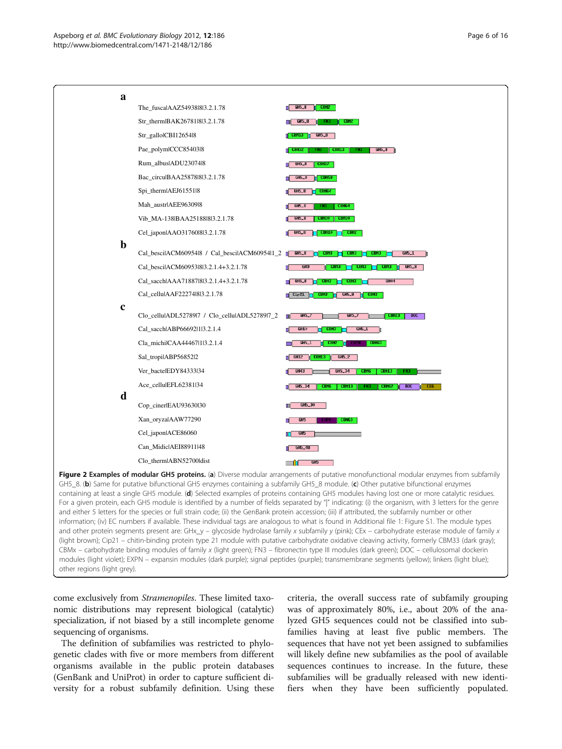<span id="page-5-0"></span>

Figure 2 Examples of modular GH5 proteins. (a) Diverse modular arrangements of putative monofunctional modular enzymes from subfamily GH5\_8. (b) Same for putative bifunctional GH5 enzymes containing a subfamily GH5\_8 module. (c) Other putative bifunctional enzymes containing at least a single GH5 module. (d) Selected examples of proteins containing GH5 modules having lost one or more catalytic residues. For a given protein, each GH5 module is identified by a number of fields separated by "|" indicating: (i) the organism, with 3 letters for the genre and either 5 letters for the species or full strain code; (ii) the GenBank protein accession; (iii) if attributed, the subfamily number or other information; (iv) EC numbers if available. These individual tags are analogous to what is found in Additional file [1:](#page-13-0) Figure S1. The module types and other protein segments present are: GHx\_y - glycoside hydrolase family x subfamily y (pink); CEx - carbohydrate esterase module of family x (light brown); Cip21 – chitin-binding protein type 21 module with putative carbohydrate oxidative cleaving activity, formerly CBM33 (dark gray); CBMx – carbohydrate binding modules of family x (light green); FN3 – fibronectin type III modules (dark green); DOC – cellulosomal dockerin modules (light violet); EXPN – expansin modules (dark purple); signal peptides (purple); transmembrane segments (yellow); linkers (light blue); other regions (light grey).

come exclusively from Stramenopiles. These limited taxonomic distributions may represent biological (catalytic) specialization, if not biased by a still incomplete genome sequencing of organisms.

The definition of subfamilies was restricted to phylogenetic clades with five or more members from different organisms available in the public protein databases (GenBank and UniProt) in order to capture sufficient diversity for a robust subfamily definition. Using these

criteria, the overall success rate of subfamily grouping was of approximately 80%, i.e., about 20% of the analyzed GH5 sequences could not be classified into subfamilies having at least five public members. The sequences that have not yet been assigned to subfamilies will likely define new subfamilies as the pool of available sequences continues to increase. In the future, these subfamilies will be gradually released with new identifiers when they have been sufficiently populated.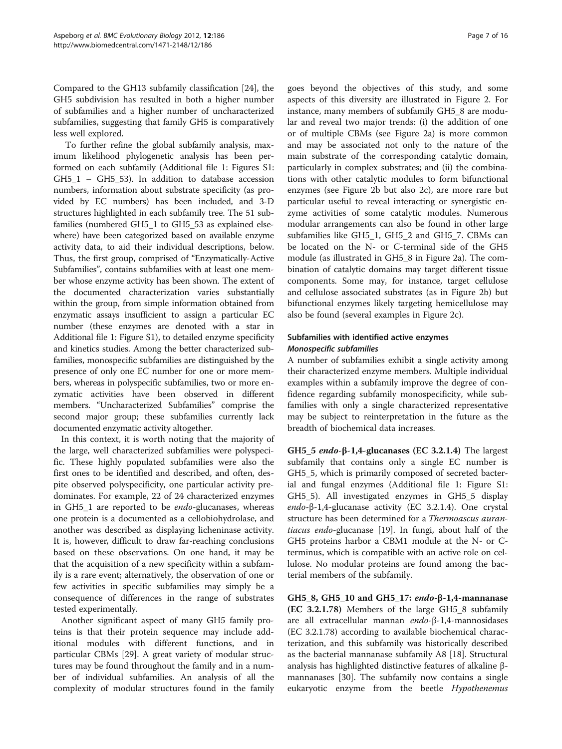Compared to the GH13 subfamily classification [\[24](#page-14-0)], the GH5 subdivision has resulted in both a higher number of subfamilies and a higher number of uncharacterized subfamilies, suggesting that family GH5 is comparatively less well explored.

To further refine the global subfamily analysis, maximum likelihood phylogenetic analysis has been performed on each subfamily (Additional file [1](#page-13-0): Figures S1: GH5\_1 – GH5\_53). In addition to database accession numbers, information about substrate specificity (as provided by EC numbers) has been included, and 3-D structures highlighted in each subfamily tree. The 51 subfamilies (numbered GH5\_1 to GH5\_53 as explained elsewhere) have been categorized based on available enzyme activity data, to aid their individual descriptions, below. Thus, the first group, comprised of "Enzymatically-Active Subfamilies", contains subfamilies with at least one member whose enzyme activity has been shown. The extent of the documented characterization varies substantially within the group, from simple information obtained from enzymatic assays insufficient to assign a particular EC number (these enzymes are denoted with a star in Additional file [1:](#page-13-0) Figure S1), to detailed enzyme specificity and kinetics studies. Among the better characterized subfamilies, monospecific subfamilies are distinguished by the presence of only one EC number for one or more members, whereas in polyspecific subfamilies, two or more enzymatic activities have been observed in different members. "Uncharacterized Subfamilies" comprise the second major group; these subfamilies currently lack documented enzymatic activity altogether.

In this context, it is worth noting that the majority of the large, well characterized subfamilies were polyspecific. These highly populated subfamilies were also the first ones to be identified and described, and often, despite observed polyspecificity, one particular activity predominates. For example, 22 of 24 characterized enzymes in GH5\_1 are reported to be endo-glucanases, whereas one protein is a documented as a cellobiohydrolase, and another was described as displaying licheninase activity. It is, however, difficult to draw far-reaching conclusions based on these observations. On one hand, it may be that the acquisition of a new specificity within a subfamily is a rare event; alternatively, the observation of one or few activities in specific subfamilies may simply be a consequence of differences in the range of substrates tested experimentally.

Another significant aspect of many GH5 family proteins is that their protein sequence may include additional modules with different functions, and in particular CBMs [\[29\]](#page-14-0). A great variety of modular structures may be found throughout the family and in a number of individual subfamilies. An analysis of all the complexity of modular structures found in the family

goes beyond the objectives of this study, and some aspects of this diversity are illustrated in Figure [2](#page-5-0). For instance, many members of subfamily GH5\_8 are modular and reveal two major trends: (i) the addition of one or of multiple CBMs (see Figure [2a](#page-5-0)) is more common and may be associated not only to the nature of the main substrate of the corresponding catalytic domain, particularly in complex substrates; and (ii) the combinations with other catalytic modules to form bifunctional enzymes (see Figure [2b](#page-5-0) but also [2](#page-5-0)c), are more rare but particular useful to reveal interacting or synergistic enzyme activities of some catalytic modules. Numerous modular arrangements can also be found in other large subfamilies like GH5\_1, GH5\_2 and GH5\_7. CBMs can be located on the N- or C-terminal side of the GH5 module (as illustrated in GH5\_8 in Figure [2](#page-5-0)a). The combination of catalytic domains may target different tissue components. Some may, for instance, target cellulose and cellulose associated substrates (as in Figure [2b](#page-5-0)) but bifunctional enzymes likely targeting hemicellulose may also be found (several examples in Figure [2c](#page-5-0)).

## Subfamilies with identified active enzymes Monospecific subfamilies

A number of subfamilies exhibit a single activity among their characterized enzyme members. Multiple individual examples within a subfamily improve the degree of confidence regarding subfamily monospecificity, while subfamilies with only a single characterized representative may be subject to reinterpretation in the future as the breadth of biochemical data increases.

GH5\_5 endo-β-1,4-glucanases (EC 3.2.1.4) The largest subfamily that contains only a single EC number is GH5\_5, which is primarily composed of secreted bacterial and fungal enzymes (Additional file [1](#page-13-0): Figure S1: GH5\_5). All investigated enzymes in GH5\_5 display endo-β-1,4-glucanase activity (EC 3.2.1.4). One crystal structure has been determined for a Thermoascus aurantiacus endo-glucanase [[19\]](#page-14-0). In fungi, about half of the GH5 proteins harbor a CBM1 module at the N- or Cterminus, which is compatible with an active role on cellulose. No modular proteins are found among the bacterial members of the subfamily.

GH5\_8, GH5\_10 and GH5\_17: endo-β-1,4-mannanase (EC 3.2.1.78) Members of the large GH5\_8 subfamily are all extracellular mannan endo-β-1,4-mannosidases (EC 3.2.1.78) according to available biochemical characterization, and this subfamily was historically described as the bacterial mannanase subfamily A8 [[18](#page-14-0)]. Structural analysis has highlighted distinctive features of alkaline βmannanases [\[30\]](#page-14-0). The subfamily now contains a single eukaryotic enzyme from the beetle Hypothenemus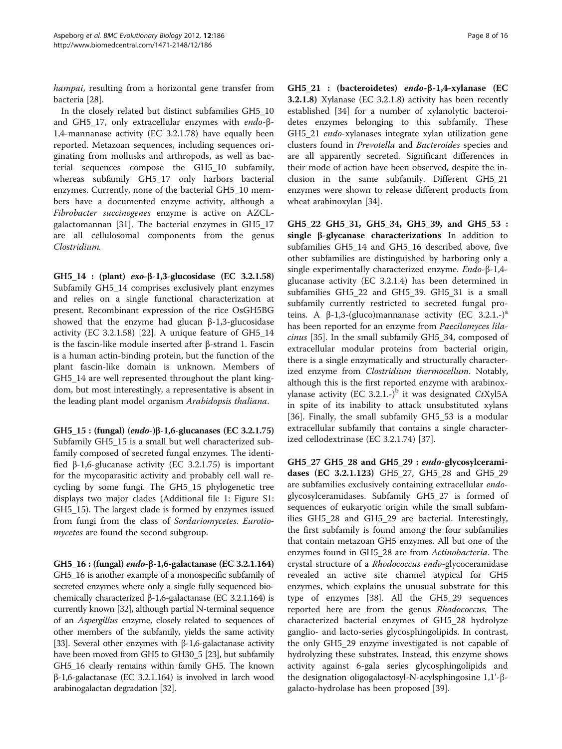hampai, resulting from a horizontal gene transfer from bacteria [[28\]](#page-14-0).

In the closely related but distinct subfamilies GH5\_10 and GH5\_17, only extracellular enzymes with endo-β-1,4-mannanase activity (EC 3.2.1.78) have equally been reported. Metazoan sequences, including sequences originating from mollusks and arthropods, as well as bacterial sequences compose the GH5\_10 subfamily, whereas subfamily GH5\_17 only harbors bacterial enzymes. Currently, none of the bacterial GH5\_10 members have a documented enzyme activity, although a Fibrobacter succinogenes enzyme is active on AZCLgalactomannan [\[31\]](#page-14-0). The bacterial enzymes in GH5\_17 are all cellulosomal components from the genus Clostridium.

GH5\_14 : (plant) exo-β-1,3-glucosidase (EC 3.2.1.58) Subfamily GH5\_14 comprises exclusively plant enzymes and relies on a single functional characterization at present. Recombinant expression of the rice OsGH5BG showed that the enzyme had glucan β-1,3-glucosidase activity (EC 3.2.1.58) [\[22](#page-14-0)]. A unique feature of GH5\_14 is the fascin-like module inserted after β-strand 1. Fascin is a human actin-binding protein, but the function of the plant fascin-like domain is unknown. Members of GH5\_14 are well represented throughout the plant kingdom, but most interestingly, a representative is absent in the leading plant model organism Arabidopsis thaliana.

GH5\_15 : (fungal) (endo-)β-1,6-glucanases (EC 3.2.1.75) Subfamily GH5\_15 is a small but well characterized subfamily composed of secreted fungal enzymes. The identified β-1,6-glucanase activity (EC 3.2.1.75) is important for the mycoparasitic activity and probably cell wall recycling by some fungi. The GH5\_15 phylogenetic tree displays two major clades (Additional file [1:](#page-13-0) Figure S1: GH5\_15). The largest clade is formed by enzymes issued from fungi from the class of Sordariomycetes. Eurotiomycetes are found the second subgroup.

GH5\_16 : (fungal) endo-β-1,6-galactanase (EC 3.2.1.164) GH5\_16 is another example of a monospecific subfamily of secreted enzymes where only a single fully sequenced biochemically characterized  $β-1,6$ -galactanase (EC 3.2.1.164) is currently known [\[32](#page-14-0)], although partial N-terminal sequence of an Aspergillus enzyme, closely related to sequences of other members of the subfamily, yields the same activity [[33](#page-14-0)]. Several other enzymes with β-1,6-galactanase activity have been moved from GH5 to GH30\_5 [\[23\]](#page-14-0), but subfamily GH5\_16 clearly remains within family GH5. The known β-1,6-galactanase (EC 3.2.1.164) is involved in larch wood arabinogalactan degradation [\[32\]](#page-14-0).

GH5\_21 : (bacteroidetes) endo-β-1,4-xylanase (EC 3.2.1.8) Xylanase (EC 3.2.1.8) activity has been recently established [[34\]](#page-14-0) for a number of xylanolytic bacteroidetes enzymes belonging to this subfamily. These GH5\_21 endo-xylanases integrate xylan utilization gene clusters found in Prevotella and Bacteroides species and are all apparently secreted. Significant differences in their mode of action have been observed, despite the inclusion in the same subfamily. Different GH5\_21 enzymes were shown to release different products from wheat arabinoxylan [\[34\]](#page-14-0).

GH5 22 GH5 31, GH5 34, GH5 39, and GH5 53 : single β-glycanase characterizations In addition to subfamilies GH5\_14 and GH5\_16 described above, five other subfamilies are distinguished by harboring only a single experimentally characterized enzyme. Endo-β-1,4 glucanase activity (EC 3.2.1.4) has been determined in subfamilies GH5\_22 and GH5\_39. GH5\_31 is a small subfamily currently restricted to secreted fungal proteins. A β-1,3-(gluco)mannanase activity (EC 3.2.1.-)<sup>a</sup> has been reported for an enzyme from Paecilomyces lilacinus [\[35\]](#page-14-0). In the small subfamily GH5\_34, composed of extracellular modular proteins from bacterial origin, there is a single enzymatically and structurally characterized enzyme from Clostridium thermocellum. Notably, although this is the first reported enzyme with arabinoxylanase activity (EC 3.2.1.-)<sup>b</sup> it was designated CtXyl5A in spite of its inability to attack unsubstituted xylans [[36\]](#page-14-0). Finally, the small subfamily GH5 53 is a modular extracellular subfamily that contains a single characterized cellodextrinase (EC 3.2.1.74) [[37](#page-14-0)].

GH5\_27 GH5\_28 and GH5\_29 : endo-glycosylceramidases (EC 3.2.1.123) GH5\_27, GH5\_28 and GH5\_29 are subfamilies exclusively containing extracellular endoglycosylceramidases. Subfamily GH5\_27 is formed of sequences of eukaryotic origin while the small subfamilies GH5\_28 and GH5\_29 are bacterial. Interestingly, the first subfamily is found among the four subfamilies that contain metazoan GH5 enzymes. All but one of the enzymes found in GH5\_28 are from Actinobacteria. The crystal structure of a Rhodococcus endo-glycoceramidase revealed an active site channel atypical for GH5 enzymes, which explains the unusual substrate for this type of enzymes [[38](#page-14-0)]. All the GH5\_29 sequences reported here are from the genus Rhodococcus. The characterized bacterial enzymes of GH5\_28 hydrolyze ganglio- and lacto-series glycosphingolipids. In contrast, the only GH5\_29 enzyme investigated is not capable of hydrolyzing these substrates. Instead, this enzyme shows activity against 6-gala series glycosphingolipids and the designation oligogalactosyl-N-acylsphingosine 1,1'-βgalacto-hydrolase has been proposed [[39](#page-14-0)].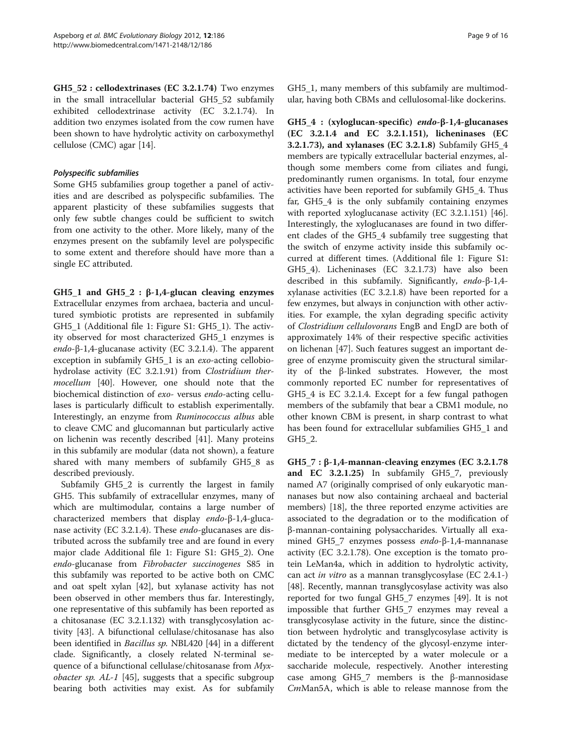GH5\_52 : cellodextrinases (EC 3.2.1.74) Two enzymes in the small intracellular bacterial GH5\_52 subfamily exhibited cellodextrinase activity (EC 3.2.1.74). In addition two enzymes isolated from the cow rumen have been shown to have hydrolytic activity on carboxymethyl cellulose (CMC) agar [[14\]](#page-14-0).

## Polyspecific subfamilies

Some GH5 subfamilies group together a panel of activities and are described as polyspecific subfamilies. The apparent plasticity of these subfamilies suggests that only few subtle changes could be sufficient to switch from one activity to the other. More likely, many of the enzymes present on the subfamily level are polyspecific to some extent and therefore should have more than a single EC attributed.

GH5\_1 and GH5\_2 :  $β-1,4$ -glucan cleaving enzymes Extracellular enzymes from archaea, bacteria and uncultured symbiotic protists are represented in subfamily GH5\_1 (Additional file [1:](#page-13-0) Figure S1: GH5\_1). The activity observed for most characterized GH5\_1 enzymes is endo-β-1,4-glucanase activity (EC 3.2.1.4). The apparent exception in subfamily GH5\_1 is an exo-acting cellobiohydrolase activity (EC 3.2.1.91) from Clostridium thermocellum [\[40](#page-14-0)]. However, one should note that the biochemical distinction of exo- versus endo-acting cellulases is particularly difficult to establish experimentally. Interestingly, an enzyme from Ruminococcus albus able to cleave CMC and glucomannan but particularly active on lichenin was recently described [\[41](#page-14-0)]. Many proteins in this subfamily are modular (data not shown), a feature shared with many members of subfamily GH5\_8 as described previously.

Subfamily GH5\_2 is currently the largest in family GH5. This subfamily of extracellular enzymes, many of which are multimodular, contains a large number of characterized members that display endo-β-1,4-glucanase activity (EC 3.2.1.4). These endo-glucanases are distributed across the subfamily tree and are found in every major clade Additional file [1](#page-13-0): Figure S1: GH5\_2). One endo-glucanase from Fibrobacter succinogenes S85 in this subfamily was reported to be active both on CMC and oat spelt xylan [\[42](#page-14-0)], but xylanase activity has not been observed in other members thus far. Interestingly, one representative of this subfamily has been reported as a chitosanase (EC 3.2.1.132) with transglycosylation activity [\[43](#page-14-0)]. A bifunctional cellulase/chitosanase has also been identified in *Bacillus sp.* NBL420 [\[44\]](#page-14-0) in a different clade. Significantly, a closely related N-terminal sequence of a bifunctional cellulase/chitosanase from Myx*obacter sp. AL-1* [\[45](#page-14-0)], suggests that a specific subgroup bearing both activities may exist. As for subfamily GH5\_1, many members of this subfamily are multimodular, having both CBMs and cellulosomal-like dockerins.

GH5\_4 : (xyloglucan-specific) endo-β-1,4-glucanases (EC 3.2.1.4 and EC 3.2.1.151), licheninases (EC 3.2.1.73), and xylanases (EC 3.2.1.8) Subfamily GH5\_4 members are typically extracellular bacterial enzymes, although some members come from ciliates and fungi, predominantly rumen organisms. In total, four enzyme activities have been reported for subfamily GH5\_4. Thus far, GH5\_4 is the only subfamily containing enzymes with reported xyloglucanase activity (EC 3.2.1.151) [\[46](#page-14-0)]. Interestingly, the xyloglucanases are found in two different clades of the GH5\_4 subfamily tree suggesting that the switch of enzyme activity inside this subfamily occurred at different times. (Additional file [1](#page-13-0): Figure S1: GH5\_4). Licheninases (EC 3.2.1.73) have also been described in this subfamily. Significantly, endo-β-1,4 xylanase activities (EC 3.2.1.8) have been reported for a few enzymes, but always in conjunction with other activities. For example, the xylan degrading specific activity of Clostridium cellulovorans EngB and EngD are both of approximately 14% of their respective specific activities on lichenan [\[47\]](#page-14-0). Such features suggest an important degree of enzyme promiscuity given the structural similarity of the β-linked substrates. However, the most commonly reported EC number for representatives of GH5\_4 is EC 3.2.1.4. Except for a few fungal pathogen members of the subfamily that bear a CBM1 module, no other known CBM is present, in sharp contrast to what has been found for extracellular subfamilies GH5\_1 and GH5\_2.

GH5\_7 : β-1,4-mannan-cleaving enzymes (EC 3.2.1.78 and EC 3.2.1.25) In subfamily GH5\_7, previously named A7 (originally comprised of only eukaryotic mannanases but now also containing archaeal and bacterial members) [[18](#page-14-0)], the three reported enzyme activities are associated to the degradation or to the modification of β-mannan-containing polysaccharides. Virtually all examined GH5\_7 enzymes possess endo-β-1,4-mannanase activity (EC 3.2.1.78). One exception is the tomato protein LeMan4a, which in addition to hydrolytic activity, can act in vitro as a mannan transglycosylase (EC 2.4.1-) [[48\]](#page-14-0). Recently, mannan transglycosylase activity was also reported for two fungal GH5\_7 enzymes [\[49](#page-14-0)]. It is not impossible that further GH5\_7 enzymes may reveal a transglycosylase activity in the future, since the distinction between hydrolytic and transglycosylase activity is dictated by the tendency of the glycosyl-enzyme intermediate to be intercepted by a water molecule or a saccharide molecule, respectively. Another interesting case among GH5\_7 members is the β-mannosidase CmMan5A, which is able to release mannose from the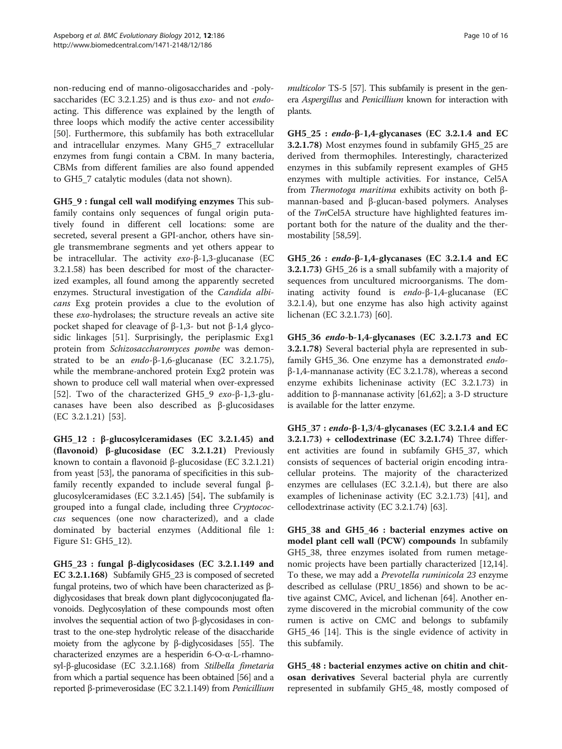non-reducing end of manno-oligosaccharides and -polysaccharides (EC 3.2.1.25) and is thus *exo-* and not *endo*acting. This difference was explained by the length of three loops which modify the active center accessibility [[50\]](#page-14-0). Furthermore, this subfamily has both extracellular and intracellular enzymes. Many GH5\_7 extracellular enzymes from fungi contain a CBM. In many bacteria, CBMs from different families are also found appended to GH5\_7 catalytic modules (data not shown).

GH5\_9 : fungal cell wall modifying enzymes This subfamily contains only sequences of fungal origin putatively found in different cell locations: some are secreted, several present a GPI-anchor, others have single transmembrane segments and yet others appear to be intracellular. The activity exo-β-1,3-glucanase (EC 3.2.1.58) has been described for most of the characterized examples, all found among the apparently secreted enzymes. Structural investigation of the Candida albicans Exg protein provides a clue to the evolution of these exo-hydrolases; the structure reveals an active site pocket shaped for cleavage of β-1,3- but not β-1,4 glycosidic linkages [\[51](#page-14-0)]. Surprisingly, the periplasmic Exg1 protein from Schizosaccharomyces pombe was demonstrated to be an endo-β-1,6-glucanase (EC 3.2.1.75), while the membrane-anchored protein Exg2 protein was shown to produce cell wall material when over-expressed [[52\]](#page-15-0). Two of the characterized GH5\_9 exo-β-1,3-glucanases have been also described as β-glucosidases (EC 3.2.1.21) [\[53](#page-15-0)].

GH5\_12 : β-glucosylceramidases (EC 3.2.1.45) and (flavonoid) β-glucosidase (EC 3.2.1.21) Previously known to contain a flavonoid β-glucosidase (EC 3.2.1.21) from yeast [[53\]](#page-15-0), the panorama of specificities in this subfamily recently expanded to include several fungal βglucosylceramidases (EC 3.2.1.45) [\[54](#page-15-0)]. The subfamily is grouped into a fungal clade, including three Cryptococcus sequences (one now characterized), and a clade dominated by bacterial enzymes (Additional file [1](#page-13-0): Figure S1: GH5\_12).

GH5\_23 : fungal β-diglycosidases (EC 3.2.1.149 and EC 3.2.1.168) Subfamily GH5\_23 is composed of secreted fungal proteins, two of which have been characterized as βdiglycosidases that break down plant diglycoconjugated flavonoids. Deglycosylation of these compounds most often involves the sequential action of two β-glycosidases in contrast to the one-step hydrolytic release of the disaccharide moiety from the aglycone by β-diglycosidases [\[55\]](#page-15-0). The characterized enzymes are a hesperidin 6-O-α-L-rhamnosyl-β-glucosidase (EC 3.2.1.168) from Stilbella fimetaria from which a partial sequence has been obtained [\[56](#page-15-0)] and a reported β-primeverosidase (EC 3.2.1.149) from Penicillium multicolor TS-5 [[57](#page-15-0)]. This subfamily is present in the genera Aspergillus and Penicillium known for interaction with plants.

GH5\_25 : endo-β-1,4-glycanases (EC 3.2.1.4 and EC 3.2.1.78) Most enzymes found in subfamily GH5\_25 are derived from thermophiles. Interestingly, characterized enzymes in this subfamily represent examples of GH5 enzymes with multiple activities. For instance, Cel5A from Thermotoga maritima exhibits activity on both βmannan-based and β-glucan-based polymers. Analyses of the TmCel5A structure have highlighted features important both for the nature of the duality and the thermostability [[58,59\]](#page-15-0).

GH5\_26 : endo-β-1,4-glycanases (EC 3.2.1.4 and EC 3.2.1.73) GH5\_26 is a small subfamily with a majority of sequences from uncultured microorganisms. The dominating activity found is endo-β-1,4-glucanase (EC 3.2.1.4), but one enzyme has also high activity against lichenan (EC 3.2.1.73) [[60\]](#page-15-0).

GH5\_36 endo-b-1,4-glycanases (EC 3.2.1.73 and EC 3.2.1.78) Several bacterial phyla are represented in subfamily GH5\_36. One enzyme has a demonstrated endoβ-1,4-mannanase activity (EC 3.2.1.78), whereas a second enzyme exhibits licheninase activity (EC 3.2.1.73) in addition to β-mannanase activity [[61](#page-15-0),[62](#page-15-0)]; a 3-D structure is available for the latter enzyme.

GH5\_37 : endo-β-1,3/4-glycanases (EC 3.2.1.4 and EC 3.2.1.73) + cellodextrinase (EC 3.2.1.74) Three different activities are found in subfamily GH5\_37, which consists of sequences of bacterial origin encoding intracellular proteins. The majority of the characterized enzymes are cellulases (EC 3.2.1.4), but there are also examples of licheninase activity (EC 3.2.1.73) [[41\]](#page-14-0), and cellodextrinase activity (EC 3.2.1.74) [\[63](#page-15-0)].

GH5\_38 and GH5\_46 : bacterial enzymes active on model plant cell wall (PCW) compounds In subfamily GH5\_38, three enzymes isolated from rumen metagenomic projects have been partially characterized [\[12,14](#page-14-0)]. To these, we may add a Prevotella ruminicola 23 enzyme described as cellulase (PRU\_1856) and shown to be active against CMC, Avicel, and lichenan [\[64\]](#page-15-0). Another enzyme discovered in the microbial community of the cow rumen is active on CMC and belongs to subfamily GH5\_46 [[14](#page-14-0)]. This is the single evidence of activity in this subfamily.

GH5\_48 : bacterial enzymes active on chitin and chitosan derivatives Several bacterial phyla are currently represented in subfamily GH5\_48, mostly composed of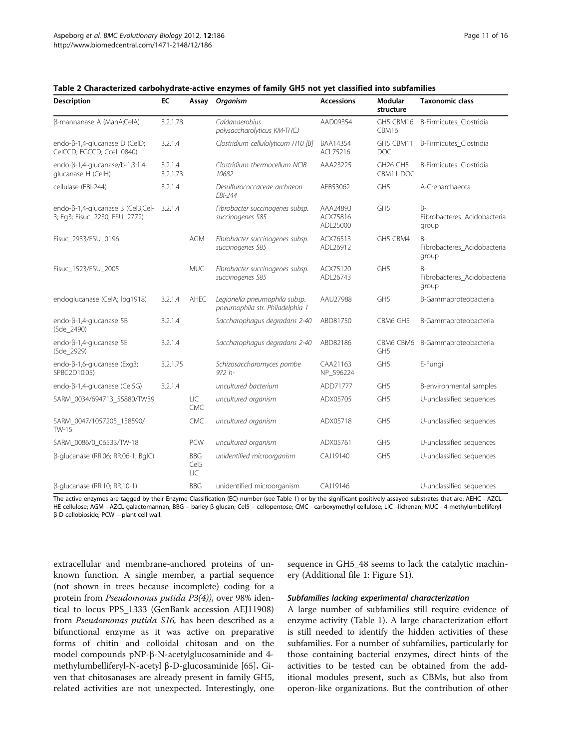| <b>Description</b>                                                 | EC                  | Assay                     | Organism                                                         | <b>Accessions</b>                | Modular<br>structure         | <b>Taxonomic class</b>                        |
|--------------------------------------------------------------------|---------------------|---------------------------|------------------------------------------------------------------|----------------------------------|------------------------------|-----------------------------------------------|
| β-mannanase A (ManA;CelA)                                          | 3.2.1.78            |                           | Caldanaerobius<br>polysaccharolyticus KM-THCJ                    | AAD09354                         | GH5 CBM16<br>CBM16           | B-Firmicutes_Clostridia                       |
| endo-β-1,4-glucanase D (CelD;<br>CelCCD; EGCCD; Ccel 0840)         | 3.2.1.4             |                           | Clostridium cellulolyticum H10 [B]                               | BAA14354<br>ACL75216             | GH5 CBM11<br><b>DOC</b>      | B-Firmicutes_Clostridia                       |
| endo-β-1,4-glucanase/b-1,3:1,4-<br>glucanase H (CelH)              | 3.2.1.4<br>3.2.1.73 |                           | Clostridium thermocellum NCIB<br>10682                           | AAA23225                         | GH26 GH5<br>CBM11 DOC        | B-Firmicutes_Clostridia                       |
| cellulase (EBI-244)                                                | 3.2.1.4             |                           | Desulfurococcaceae archaeon<br>FBI-244                           | AEB53062                         | GH <sub>5</sub>              | A-Crenarchaeota                               |
| endo-β-1,4-glucanase 3 (Cel3;Cel-<br>3; Eq3; Fisuc_2230; FSU_2772) | 3.2.1.4             |                           | Fibrobacter succinogenes subsp.<br>succinogenes S85              | AAA24893<br>ACX75816<br>ADL25000 | GH <sub>5</sub>              | $B -$<br>Fibrobacteres_Acidobacteria<br>group |
| Fisuc 2933/FSU 0196                                                |                     | <b>AGM</b>                | Fibrobacter succinogenes subsp.<br>succinogenes S85              | ACX76513<br>ADL26912             | GH5 CBM4                     | $B -$<br>Fibrobacteres_Acidobacteria<br>group |
| Fisuc_1523/FSU_2005                                                |                     | MUC                       | Fibrobacter succinogenes subsp.<br>succinogenes S85              | ACX75120<br>ADL26743             | GH <sub>5</sub>              | $B -$<br>Fibrobacteres_Acidobacteria<br>group |
| endoglucanase (CelA; lpg1918)                                      | 3.2.1.4             | AHEC                      | Legionella pneumophila subsp.<br>pneumophila str. Philadelphia 1 | AAU27988                         | GH <sub>5</sub>              | B-Gammaproteobacteria                         |
| endo-β-1,4-glucanase 5B<br>(Sde_2490)                              | 3.2.1.4             |                           | Saccharophagus degradans 2-40                                    | ABD81750                         | CBM6 GH5                     | B-Gammaproteobacteria                         |
| endo- $\beta$ -1,4-glucanase 5E<br>(Sde_2929)                      | 3.2.1.4             |                           | Saccharophagus degradans 2-40                                    | ABD82186                         | CBM6 CBM6<br>GH <sub>5</sub> | B-Gammaproteobacteria                         |
| endo-β-1,6-glucanase (Exg3;<br>SPBC2D10.05)                        | 3.2.1.75            |                           | Schizosaccharomyces pombe<br>$972 h -$                           | CAA21163<br>NP_596224            | GH <sub>5</sub>              | E-Fungi                                       |
| endo-β-1,4-glucanase (Cel5G)                                       | 3.2.1.4             |                           | uncultured bacterium                                             | ADD71777                         | GH <sub>5</sub>              | B-environmental samples                       |
| SARM_0034/694713_55880/TW39                                        |                     | <b>LIC</b><br>CMC         | uncultured organism                                              | ADX05705                         | GH5                          | U-unclassified sequences                      |
| SARM_0047/1057205_158590/<br>TW-15                                 |                     | <b>CMC</b>                | uncultured organism                                              | ADX05718                         | GH5                          | U-unclassified sequences                      |
| SARM_0086/0_06533/TW-18                                            |                     | PCW                       | uncultured organism                                              | ADX05761                         | GH5                          | U-unclassified sequences                      |
| β-glucanase (RR.06; RR.06-1; BglC)                                 |                     | <b>BBG</b><br>Cel5<br>LIC | unidentified microorganism                                       | CAJ19140                         | GH <sub>5</sub>              | U-unclassified sequences                      |
| β-glucanase (RR.10; RR.10-1)                                       |                     | <b>BBG</b>                | unidentified microorganism                                       | CAJ19146                         |                              | U-unclassified sequences                      |

<span id="page-10-0"></span>Table 2 Characterized carbohydrate-active enzymes of family GH5 not yet classified into subfamilies

The active enzymes are tagged by their Enzyme Classification (EC) number (see Table [1](#page-3-0)) or by the significant positively assayed substrates that are: AEHC HE cellulose; AGM - AZCL-galactomannan; BBG – barley β-glucan; Cel5 – cellopentose; CMC - carboxymethyl cellulose; LIC –lichenan; MUC - 4-methylumbelliferylβ-D-cellobioside; PCW – plant cell wall.

extracellular and membrane-anchored proteins of unknown function. A single member, a partial sequence (not shown in trees because incomplete) coding for a protein from Pseudomonas putida P3(4)), over 98% identical to locus PPS\_1333 (GenBank accession AEJ11908) from Pseudomonas putida S16, has been described as a bifunctional enzyme as it was active on preparative forms of chitin and colloidal chitosan and on the model compounds pNP-β-N-acetylglucosaminide and 4 methylumbelliferyl-N-acetyl β-D-glucosaminide [[65](#page-15-0)]. Given that chitosanases are already present in family GH5, related activities are not unexpected. Interestingly, one sequence in GH5\_48 seems to lack the catalytic machinery (Additional file [1:](#page-13-0) Figure S1).

#### Subfamilies lacking experimental characterization

A large number of subfamilies still require evidence of enzyme activity (Table [1](#page-3-0)). A large characterization effort is still needed to identify the hidden activities of these subfamilies. For a number of subfamilies, particularly for those containing bacterial enzymes, direct hints of the activities to be tested can be obtained from the additional modules present, such as CBMs, but also from operon-like organizations. But the contribution of other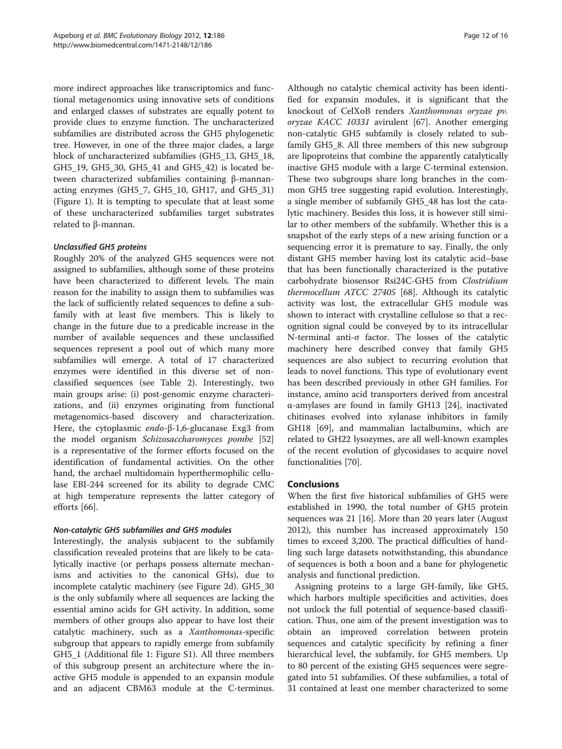more indirect approaches like transcriptomics and functional metagenomics using innovative sets of conditions and enlarged classes of substrates are equally potent to provide clues to enzyme function. The uncharacterized subfamilies are distributed across the GH5 phylogenetic tree. However, in one of the three major clades, a large block of uncharacterized subfamilies (GH5\_13, GH5\_18, GH5\_19, GH5\_30, GH5\_41 and GH5\_42) is located between characterized subfamilies containing β-mannanacting enzymes (GH5\_7, GH5\_10, GH17, and GH5\_31) (Figure [1](#page-2-0)). It is tempting to speculate that at least some of these uncharacterized subfamilies target substrates related to β-mannan.

## Unclassified GH5 proteins

Roughly 20% of the analyzed GH5 sequences were not assigned to subfamilies, although some of these proteins have been characterized to different levels. The main reason for the inability to assign them to subfamilies was the lack of sufficiently related sequences to define a subfamily with at least five members. This is likely to change in the future due to a predicable increase in the number of available sequences and these unclassified sequences represent a pool out of which many more subfamilies will emerge. A total of 17 characterized enzymes were identified in this diverse set of nonclassified sequences (see Table [2\)](#page-10-0). Interestingly, two main groups arise: (i) post-genomic enzyme characterizations, and (ii) enzymes originating from functional metagenomics-based discovery and characterization. Here, the cytoplasmic endo-β-1,6-glucanase Exg3 from the model organism Schizosaccharomyces pombe [[52](#page-15-0)] is a representative of the former efforts focused on the identification of fundamental activities. On the other hand, the archael multidomain hyperthermophilic cellulase EBI-244 screened for its ability to degrade CMC at high temperature represents the latter category of efforts [[66\]](#page-15-0).

#### Non-catalytic GH5 subfamilies and GH5 modules

Interestingly, the analysis subjacent to the subfamily classification revealed proteins that are likely to be catalytically inactive (or perhaps possess alternate mechanisms and activities to the canonical GHs), due to incomplete catalytic machinery (see Figure [2](#page-5-0)d). GH5\_30 is the only subfamily where all sequences are lacking the essential amino acids for GH activity. In addition, some members of other groups also appear to have lost their catalytic machinery, such as a Xanthomonas-specific subgroup that appears to rapidly emerge from subfamily GH5\_1 (Additional file [1:](#page-13-0) Figure S1). All three members of this subgroup present an architecture where the inactive GH5 module is appended to an expansin module and an adjacent CBM63 module at the C-terminus.

Although no catalytic chemical activity has been identified for expansin modules, it is significant that the knockout of CelXoB renders Xanthomonas oryzae pv. oryzae KACC 10331 avirulent [\[67\]](#page-15-0). Another emerging non-catalytic GH5 subfamily is closely related to subfamily GH5\_8. All three members of this new subgroup are lipoproteins that combine the apparently catalytically inactive GH5 module with a large C-terminal extension. These two subgroups share long branches in the common GH5 tree suggesting rapid evolution. Interestingly, a single member of subfamily GH5\_48 has lost the catalytic machinery. Besides this loss, it is however still similar to other members of the subfamily. Whether this is a snapshot of the early steps of a new arising function or a sequencing error it is premature to say. Finally, the only distant GH5 member having lost its catalytic acid–base that has been functionally characterized is the putative carbohydrate biosensor Rsi24C-GH5 from Clostridium thermocellum ATCC 27405 [[68](#page-15-0)]. Although its catalytic activity was lost, the extracellular GH5 module was shown to interact with crystalline cellulose so that a recognition signal could be conveyed by to its intracellular N-terminal anti-σ factor. The losses of the catalytic machinery here described convey that family GH5 sequences are also subject to recurring evolution that leads to novel functions. This type of evolutionary event has been described previously in other GH families. For instance, amino acid transporters derived from ancestral α-amylases are found in family GH13 [[24](#page-14-0)], inactivated chitinases evolved into xylanase inhibitors in family GH18 [[69](#page-15-0)], and mammalian lactalbumins, which are related to GH22 lysozymes, are all well-known examples of the recent evolution of glycosidases to acquire novel functionalities [[70](#page-15-0)].

#### Conclusions

When the first five historical subfamilies of GH5 were established in 1990, the total number of GH5 protein sequences was 21 [\[16](#page-14-0)]. More than 20 years later (August 2012), this number has increased approximately 150 times to exceed 3,200. The practical difficulties of handling such large datasets notwithstanding, this abundance of sequences is both a boon and a bane for phylogenetic analysis and functional prediction.

Assigning proteins to a large GH-family, like GH5, which harbors multiple specificities and activities, does not unlock the full potential of sequence-based classification. Thus, one aim of the present investigation was to obtain an improved correlation between protein sequences and catalytic specificity by refining a finer hierarchical level, the subfamily, for GH5 members. Up to 80 percent of the existing GH5 sequences were segregated into 51 subfamilies. Of these subfamilies, a total of 31 contained at least one member characterized to some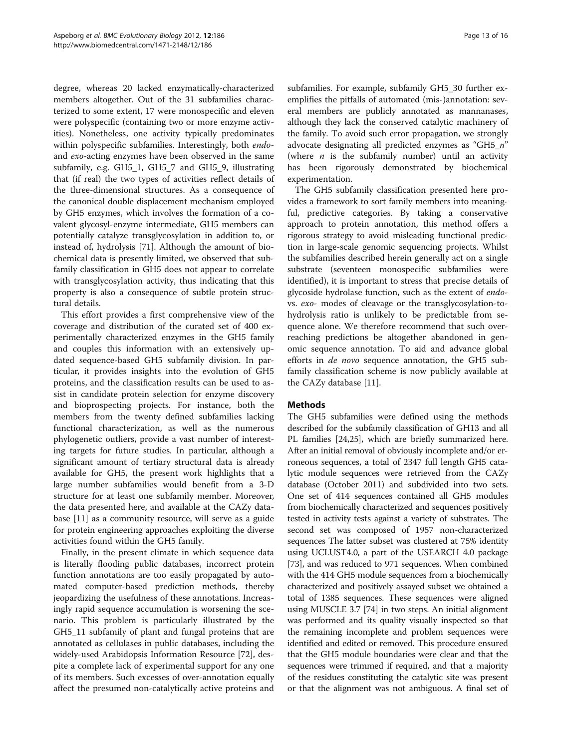degree, whereas 20 lacked enzymatically-characterized members altogether. Out of the 31 subfamilies characterized to some extent, 17 were monospecific and eleven were polyspecific (containing two or more enzyme activities). Nonetheless, one activity typically predominates within polyspecific subfamilies. Interestingly, both *endo*and exo-acting enzymes have been observed in the same subfamily, e.g. GH5\_1, GH5\_7 and GH5\_9, illustrating that (if real) the two types of activities reflect details of the three-dimensional structures. As a consequence of the canonical double displacement mechanism employed by GH5 enzymes, which involves the formation of a covalent glycosyl-enzyme intermediate, GH5 members can potentially catalyze transglycosylation in addition to, or instead of, hydrolysis [\[71](#page-15-0)]. Although the amount of biochemical data is presently limited, we observed that subfamily classification in GH5 does not appear to correlate with transglycosylation activity, thus indicating that this property is also a consequence of subtle protein structural details.

This effort provides a first comprehensive view of the coverage and distribution of the curated set of 400 experimentally characterized enzymes in the GH5 family and couples this information with an extensively updated sequence-based GH5 subfamily division. In particular, it provides insights into the evolution of GH5 proteins, and the classification results can be used to assist in candidate protein selection for enzyme discovery and bioprospecting projects. For instance, both the members from the twenty defined subfamilies lacking functional characterization, as well as the numerous phylogenetic outliers, provide a vast number of interesting targets for future studies. In particular, although a significant amount of tertiary structural data is already available for GH5, the present work highlights that a large number subfamilies would benefit from a 3-D structure for at least one subfamily member. Moreover, the data presented here, and available at the CAZy database [[11\]](#page-14-0) as a community resource, will serve as a guide for protein engineering approaches exploiting the diverse activities found within the GH5 family.

Finally, in the present climate in which sequence data is literally flooding public databases, incorrect protein function annotations are too easily propagated by automated computer-based prediction methods, thereby jeopardizing the usefulness of these annotations. Increasingly rapid sequence accumulation is worsening the scenario. This problem is particularly illustrated by the GH5\_11 subfamily of plant and fungal proteins that are annotated as cellulases in public databases, including the widely-used Arabidopsis Information Resource [\[72](#page-15-0)], despite a complete lack of experimental support for any one of its members. Such excesses of over-annotation equally affect the presumed non-catalytically active proteins and

subfamilies. For example, subfamily GH5\_30 further exemplifies the pitfalls of automated (mis-)annotation: several members are publicly annotated as mannanases, although they lack the conserved catalytic machinery of the family. To avoid such error propagation, we strongly advocate designating all predicted enzymes as "GH5\_n" (where  $n$  is the subfamily number) until an activity has been rigorously demonstrated by biochemical experimentation.

The GH5 subfamily classification presented here provides a framework to sort family members into meaningful, predictive categories. By taking a conservative approach to protein annotation, this method offers a rigorous strategy to avoid misleading functional prediction in large-scale genomic sequencing projects. Whilst the subfamilies described herein generally act on a single substrate (seventeen monospecific subfamilies were identified), it is important to stress that precise details of glycoside hydrolase function, such as the extent of endovs. exo- modes of cleavage or the transglycosylation-tohydrolysis ratio is unlikely to be predictable from sequence alone. We therefore recommend that such overreaching predictions be altogether abandoned in genomic sequence annotation. To aid and advance global efforts in *de novo* sequence annotation, the GH5 subfamily classification scheme is now publicly available at the CAZy database [[11\]](#page-14-0).

## **Methods**

The GH5 subfamilies were defined using the methods described for the subfamily classification of GH13 and all PL families [[24,25](#page-14-0)], which are briefly summarized here. After an initial removal of obviously incomplete and/or erroneous sequences, a total of 2347 full length GH5 catalytic module sequences were retrieved from the CAZy database (October 2011) and subdivided into two sets. One set of 414 sequences contained all GH5 modules from biochemically characterized and sequences positively tested in activity tests against a variety of substrates. The second set was composed of 1957 non-characterized sequences The latter subset was clustered at 75% identity using UCLUST4.0, a part of the USEARCH 4.0 package [[73](#page-15-0)], and was reduced to 971 sequences. When combined with the 414 GH5 module sequences from a biochemically characterized and positively assayed subset we obtained a total of 1385 sequences. These sequences were aligned using MUSCLE 3.7 [\[74\]](#page-15-0) in two steps. An initial alignment was performed and its quality visually inspected so that the remaining incomplete and problem sequences were identified and edited or removed. This procedure ensured that the GH5 module boundaries were clear and that the sequences were trimmed if required, and that a majority of the residues constituting the catalytic site was present or that the alignment was not ambiguous. A final set of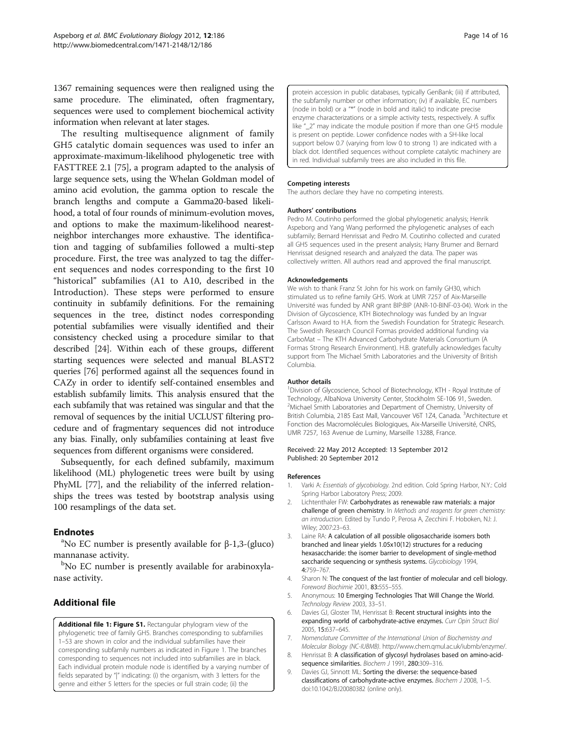<span id="page-13-0"></span>1367 remaining sequences were then realigned using the same procedure. The eliminated, often fragmentary, sequences were used to complement biochemical activity information when relevant at later stages.

The resulting multisequence alignment of family GH5 catalytic domain sequences was used to infer an approximate-maximum-likelihood phylogenetic tree with FASTTREE 2.1 [\[75\]](#page-15-0), a program adapted to the analysis of large sequence sets, using the Whelan Goldman model of amino acid evolution, the gamma option to rescale the branch lengths and compute a Gamma20-based likelihood, a total of four rounds of minimum-evolution moves, and options to make the maximum-likelihood nearestneighbor interchanges more exhaustive. The identification and tagging of subfamilies followed a multi-step procedure. First, the tree was analyzed to tag the different sequences and nodes corresponding to the first 10 "historical" subfamilies (A1 to A10, described in the Introduction). These steps were performed to ensure continuity in subfamily definitions. For the remaining sequences in the tree, distinct nodes corresponding potential subfamilies were visually identified and their consistency checked using a procedure similar to that described [\[24](#page-14-0)]. Within each of these groups, different starting sequences were selected and manual BLAST2 queries [[76](#page-15-0)] performed against all the sequences found in CAZy in order to identify self-contained ensembles and establish subfamily limits. This analysis ensured that the each subfamily that was retained was singular and that the removal of sequences by the initial UCLUST filtering procedure and of fragmentary sequences did not introduce any bias. Finally, only subfamilies containing at least five sequences from different organisms were considered.

Subsequently, for each defined subfamily, maximum likelihood (ML) phylogenetic trees were built by using PhyML [[77\]](#page-15-0), and the reliability of the inferred relationships the trees was tested by bootstrap analysis using 100 resamplings of the data set.

## **Endnotes**

<sup>a</sup>No EC number is presently available for β-1,3-(gluco) mannanase activity.

<sup>b</sup>No EC number is presently available for arabinoxylanase activity.

## Additional file

[Additional file 1: Figure S1.](http://www.biomedcentral.com/content/supplementary/1471-2148-12-186-S1.pdf) Rectangular phylogram view of the phylogenetic tree of family GH5. Branches corresponding to subfamilies 1–53 are shown in color and the individual subfamilies have their corresponding subfamily numbers as indicated in Figure 1. The branches corresponding to sequences not included into subfamilies are in black. Each individual protein module node is identified by a varying number of fields separated by "|" indicating: (i) the organism, with 3 letters for the genre and either 5 letters for the species or full strain code; (ii) the

protein accession in public databases, typically GenBank; (iii) if attributed, the subfamily number or other information; (iv) if available, EC numbers (node in bold) or a "\*" (node in bold and italic) to indicate precise enzyme characterizations or a simple activity tests, respectively. A suffix like "\_2" may indicate the module position if more than one GH5 module is present on peptide. Lower confidence nodes with a SH-like local support below 0.7 (varying from low 0 to strong 1) are indicated with a black dot. Identified sequences without complete catalytic machinery are in red. Individual subfamily trees are also included in this file.

#### Competing interests

The authors declare they have no competing interests.

#### Authors' contributions

Pedro M. Coutinho performed the global phylogenetic analysis; Henrik Aspeborg and Yang Wang performed the phylogenetic analyses of each subfamily; Bernard Henrissat and Pedro M. Coutinho collected and curated all GH5 sequences used in the present analysis; Harry Brumer and Bernard Henrissat designed research and analyzed the data. The paper was collectively written. All authors read and approved the final manuscript.

#### Acknowledgements

We wish to thank Franz St John for his work on family GH30, which stimulated us to refine family GH5. Work at UMR 7257 of Aix-Marseille Université was funded by ANR grant BIP:BIP (ANR-10-BINF-03-04). Work in the Division of Glycoscience, KTH Biotechnology was funded by an Ingvar Carlsson Award to H.A. from the Swedish Foundation for Strategic Research. The Swedish Research Council Formas provided additional funding via CarboMat – The KTH Advanced Carbohydrate Materials Consortium (A Formas Strong Research Environment). H.B. gratefully acknowledges faculty support from The Michael Smith Laboratories and the University of British Columbia.

#### Author details

<sup>1</sup> Division of Glycoscience, School of Biotechnology, KTH - Royal Institute of Technology, AlbaNova University Center, Stockholm SE-106 91, Sweden. <sup>2</sup>Michael Smith Laboratories and Department of Chemistry, University of British Columbia, 2185 East Mall, Vancouver V6T 1Z4, Canada. <sup>3</sup>Architecture et Fonction des Macromolécules Biologiques, Aix-Marseille Université, CNRS, UMR 7257, 163 Avenue de Luminy, Marseille 13288, France.

#### Received: 22 May 2012 Accepted: 13 September 2012 Published: 20 September 2012

#### References

- 1. Varki A: Essentials of glycobiology. 2nd edition. Cold Spring Harbor, N.Y.: Cold Spring Harbor Laboratory Press; 2009.
- 2. Lichtenthaler FW: Carbohydrates as renewable raw materials: a major challenge of green chemistry. In Methods and reagents for green chemistry: an introduction. Edited by Tundo P, Perosa A, Zecchini F. Hoboken, NJ: J. Wiley; 2007:23–63.
- 3. Laine RA: A calculation of all possible oligosaccharide isomers both branched and linear yields 1.05x10(12) structures for a reducing hexasaccharide: the isomer barrier to development of single-method saccharide sequencing or synthesis systems. Glycobiology 1994, 4:759–767.
- 4. Sharon N: The conquest of the last frontier of molecular and cell biology. Foreword Biochimie 2001, 83:555–555.
- 5. Anonymous: 10 Emerging Technologies That Will Change the World. Technology Review 2003, 33–51.
- 6. Davies GJ, Gloster TM, Henrissat B: Recent structural insights into the expanding world of carbohydrate-active enzymes. Curr Opin Struct Biol 2005, 15:637–645.
- 7. Nomenclature Committee of the International Union of Biochemistry and Molecular Biology (NC-IUBMB). [http://www.chem.qmul.ac.uk/iubmb/enzyme/.](http://www.chem.qmul.ac.uk/iubmb/enzyme/)
- 8. Henrissat B: A classification of glycosyl hydrolases based on amino-acidsequence similarities. Biochem J 1991, 280:309-316.
- 9. Davies GJ, Sinnott ML: Sorting the diverse: the sequence-based classifications of carbohydrate-active enzymes. Biochem J 2008, 1–5. doi[:10.1042/BJ20080382](http://dx.doi.org/10.1042/BJ20080382) (online only).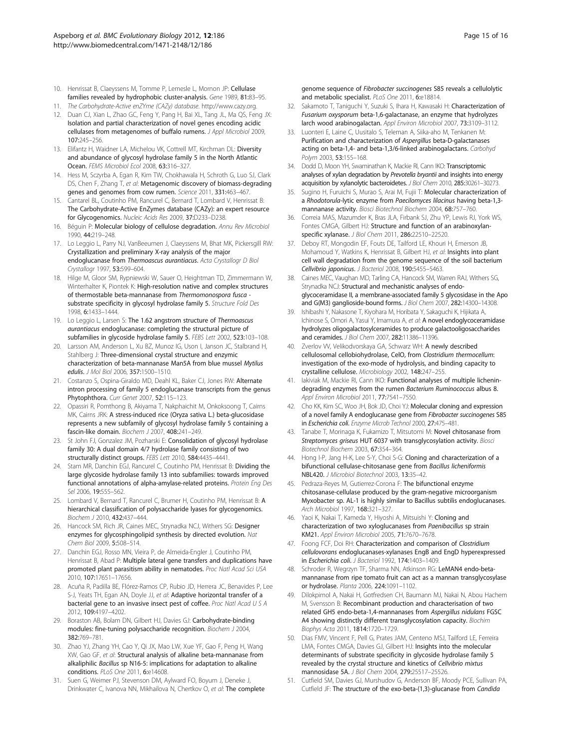- <span id="page-14-0"></span>10. Henrissat B, Claeyssens M, Tomme P, Lemesle L, Mornon JP: Cellulase families revealed by hydrophobic cluster-analysis. Gene 1989, 81:83–95.
- 11. The Carbohydrate-Active enZYme (CAZy) database.<http://www.cazy.org>. 12. Duan CJ, Xian L, Zhao GC, Feng Y, Pang H, Bai XL, Tang JL, Ma QS, Feng JX: Isolation and partial characterization of novel genes encoding acidic cellulases from metagenomes of buffalo rumens. J Appl Microbiol 2009,
- 107:245–256. 13. Elifantz H, Waidner LA, Michelou VK, Cottrell MT, Kirchman DL: Diversity and abundance of glycosyl hydrolase family 5 in the North Atlantic Ocean. FEMS Microbiol Ecol 2008, 63:316–327.
- 14. Hess M, Sczyrba A, Egan R, Kim TW, Chokhawala H, Schroth G, Luo SJ, Clark DS, Chen F, Zhang T, et al: Metagenomic discovery of biomass-degrading genes and genomes from cow rumen. Science 2011, 331:463–467.
- 15. Cantarel BL, Coutinho PM, Rancurel C, Bernard T, Lombard V, Henrissat B: The Carbohydrate-Active EnZymes database (CAZy): an expert resource for Glycogenomics. Nucleic Acids Res 2009, 37:D233–D238.
- 16. Béguin P: Molecular biology of cellulose degradation. Annu Rev Microbiol 1990, 44:219–248.
- 17. Lo Leggio L, Parry NJ, VanBeeumen J, Claeyssens M, Bhat MK, Pickersgill RW: Crystallization and preliminary X-ray analysis of the major endoglucanase from Thermoascus aurantiacus. Acta Crystallogr D Biol Crystallogr 1997, 53:599–604.
- 18. Hilge M, Gloor SM, Rypniewski W, Sauer O, Heightman TD, Zimmermann W, Winterhalter K, Piontek K: High-resolution native and complex structures of thermostable beta-mannanase from Thermomonospora fusca substrate specificity in glycosyl hydrolase family 5. Structure Fold Des 1998, 6:1433–1444.
- 19. Lo Leggio L, Larsen S: The 1.62 angstrom structure of Thermoascus aurantiacus endoglucanase: completing the structural picture of subfamilies in glycoside hydrolase family 5. FEBS Lett 2002, 523:103-108.
- 20. Larsson AM, Anderson L, Xu BZ, Munoz IG, Uson I, Janson JC, Stalbrand H, Stahlberg J: Three-dimensional crystal structure and enzymic characterization of beta-mannanase Man5A from blue mussel Mytilus edulis. J Mol Biol 2006, 357:1500–1510.
- 21. Costanzo S, Ospina-Giraldo MD, Deahl KL, Baker CJ, Jones RW: Alternate intron processing of family 5 endoglucanase transcripts from the genus Phytophthora. Curr Genet 2007, 52:115–123.
- 22. Opassiri R, Pomthong B, Akiyama T, Nakphaichit M, Onkoksoong T, Cairns MK, Cairns JRK: A stress-induced rice (Oryza sativa L.) beta-glucosidase represents a new subfamily of glycosyl hydrolase family 5 containing a fascin-like domain. Biochem J 2007, 408:241–249.
- 23. St John FJ, Gonzalez JM, Pozharski E: Consolidation of glycosyl hydrolase family 30: A dual domain 4/7 hydrolase family consisting of two structurally distinct groups. FEBS Lett 2010, 584:4435–4441.
- 24. Stam MR, Danchin EGJ, Rancurel C, Coutinho PM, Henrissat B: Dividing the large glycoside hydrolase family 13 into subfamilies: towards improved functional annotations of alpha-amylase-related proteins. Protein Eng Des Sel 2006, 19:555-562.
- 25. Lombard V, Bernard T, Rancurel C, Brumer H, Coutinho PM, Henrissat B: A hierarchical classification of polysaccharide lyases for glycogenomics. Biochem J 2010, 432:437–444.
- 26. Hancock SM, Rich JR, Caines MEC, Strynadka NCJ, Withers SG: Designer enzymes for glycosphingolipid synthesis by directed evolution. Nat Chem Biol 2009, 5:508–514.
- 27. Danchin EGJ, Rosso MN, Vieira P, de Almeida-Engler J, Coutinho PM, Henrissat B, Abad P: Multiple lateral gene transfers and duplications have promoted plant parasitism ability in nematodes. Proc Natl Acad Sci USA 2010, 107:17651–17656.
- 28. Acuña R, Padilla BE, Flórez-Ramos CP, Rubio JD, Herrera JC, Benavides P, Lee S-J, Yeats TH, Egan AN, Doyle JJ, et al: Adaptive horizontal transfer of a bacterial gene to an invasive insect pest of coffee. Proc Natl Acad U S A 2012, 109:4197–4202.
- 29. Boraston AB, Bolam DN, Gilbert HJ, Davies GJ: Carbohydrate-binding modules: fine-tuning polysaccharide recognition. Biochem J 2004, 382:769–781.
- 30. Zhao YJ, Zhang YH, Cao Y, Qi JX, Mao LW, Xue YF, Gao F, Peng H, Wang XW, Gao GF, et al: Structural analysis of alkaline beta-mannanase from alkaliphilic Bacillus sp N16-5: implications for adaptation to alkaline conditions. PLoS One 2011, 6:e14608.
- 31. Suen G, Weimer PJ, Stevenson DM, Aylward FO, Boyum J, Deneke J, Drinkwater C, Ivanova NN, Mikhailova N, Chertkov O, et al: The complete

genome sequence of Fibrobacter succinogenes S85 reveals a cellulolytic and metabolic specialist. PLoS One 2011, 6:e18814.

- 32. Sakamoto T, Taniguchi Y, Suzuki S, Ihara H, Kawasaki H: Characterization of Fusarium oxysporum beta-1,6-galactanase, an enzyme that hydrolyzes larch wood arabinogalactan. Appl Environ Microbiol 2007, 73:3109–3112.
- 33. Luonteri E, Laine C, Uusitalo S, Teleman A, Siika-aho M, Tenkanen M: Purification and characterization of Aspergillus beta-D-galactanases acting on beta-1,4- and beta-1,3/6-linked arabinogalactans. Carbohyd Polym 2003, 53:155–168.
- 34. Dodd D, Moon YH, Swaminathan K, Mackie RI, Cann IKO: Transcriptomic analyses of xylan degradation by Prevotella bryantii and insights into energy acquisition by xylanolytic bacteroidetes. J Biol Chem 2010, 285:30261–30273.
- 35. Sugino H, Furuichi S, Murao S, Arai M, Fujii T: Molecular characterization of a Rhodotorula-lytic enzyme from Paecilomyces lilacinus having beta-1,3 mannanase activity. Biosci Biotechnol Biochem 2004, 68:757–760.
- 36. Correia MAS, Mazumder K, Bras JLA, Firbank SJ, Zhu YP, Lewis RJ, York WS, Fontes CMGA, Gilbert HJ: Structure and function of an arabinoxylanspecific xylanase. J Biol Chem 2011, 286:22510–22520.
- 37. Deboy RT, Mongodin EF, Fouts DE, Tailford LE, Khouri H, Emerson JB, Mohamoud Y, Watkins K, Henrissat B, Gilbert HJ, et al: Insights into plant cell wall degradation from the genome sequence of the soil bacterium Cellvibrio japonicus. J Bacteriol 2008, 190:5455-5463.
- 38. Caines MEC, Vaughan MD, Tarling CA, Hancock SM, Warren RAJ, Withers SG, Strynadka NCJ: Structural and mechanistic analyses of endoglycoceramidase II, a membrane-associated family 5 glycosidase in the Apo and G(M3) ganglioside-bound forms. J Biol Chem 2007, 282:14300–14308.
- 39. Ishibashi Y, Nakasone T, Kiyohara M, Horibata Y, Sakaguchi K, Hijikata A, Ichinose S, Omori A, Yasui Y, Imamura A, et al: A novel endoglycoceramidase hydrolyzes oligogalactosylceramides to produce galactooligosaccharides and ceramides. J Biol Chem 2007, 282:11386–11396.
- 40. Zverlov W, Velikodvorskaya GA, Schwarz WH: A newly described cellulosomal cellobiohydrolase, CelO, from Clostridium thermocellum: investigation of the exo-mode of hydrolysis, and binding capacity to crystalline cellulose. Microbiology 2002, 148:247–255.
- 41. lakiviak M, Mackie RI, Cann IKO: Functional analyses of multiple lichenindegrading enzymes from the rumen Bacterium Ruminococcus albus 8. Appl Environ Microbiol 2011, 77:7541–7550.
- 42. Cho KK, Kim SC, Woo JH, Bok JD, Choi YJ: Molecular cloning and expression of a novel family A endoglucanase gene from Fibrobacter succinogenes S85 in Escherichia coli. Enzyme Microb Technol 2000, 27:475–481.
- 43. Tanabe T, Morinaga K, Fukamizo T, Mitsutomi M: Novel chitosanase from Streptomyces griseus HUT 6037 with transglycosylation activity. Biosci Biotechnol Biochem 2003, 67:354–364.
- 44. Hong I-P, Jang H-K, Lee S-Y, Choi S-G: Cloning and characterization of a bifunctional cellulase-chitosanase gene from Bacillus licheniformis NBL420. J Microbiol Biotechnol 2003, 13:35–42.
- 45. Pedraza-Reyes M, Gutierrez-Corona F: The bifunctional enzyme chitosanase-cellulase produced by the gram-negative microorganism Myxobacter sp. AL-1 is highly similar to Bacillus subtilis endoglucanases. Arch Microbiol 1997, 168:321-327.
- 46. Yaoi K, Nakai T, Kameda Y, Hiyoshi A, Mitsuishi Y: Cloning and characterization of two xyloglucanases from Paenibacillus sp strain KM21. Appl Environ Microbiol 2005, 71:7670–7678.
- 47. Foong FCF, Doi RH: Characterization and comparison of Clostridium cellulovorans endoglucanases-xylanases EngB and EngD hyperexpressed in Escherichia coli. J Bacteriol 1992, 174:1403–1409.
- Schroder R, Wegrzyn TF, Sharma NN, Atkinson RG: LeMAN4 endo-betamannanase from ripe tomato fruit can act as a mannan transglycosylase or hydrolase. Planta 2006, 224:1091–1102.
- 49. Dilokpimol A, Nakai H, Gotfredsen CH, Baumann MJ, Nakai N, Abou Hachem M, Svensson B: Recombinant production and characterisation of two related GH5 endo-beta-1,4-mannanases from Aspergillus nidulans FGSC A4 showing distinctly different transglycosylation capacity. Biochim Biophys Acta 2011, 1814:1720–1729.
- 50. Dias FMV, Vincent F, Pell G, Prates JAM, Centeno MSJ, Tailford LE, Ferreira LMA, Fontes CMGA, Davies GJ, Gilbert HJ: Insights into the molecular determinants of substrate specificity in glycoside hydrolase family 5 revealed by the crystal structure and kinetics of Cellvibrio mixtus mannosidase 5A. J Biol Chem 2004, 279:25517–25526.
- 51. Cutfield SM, Davies GJ, Murshudov G, Anderson BF, Moody PCE, Sullivan PA, Cutfield JF: The structure of the exo-beta-(1,3)-glucanase from Candida